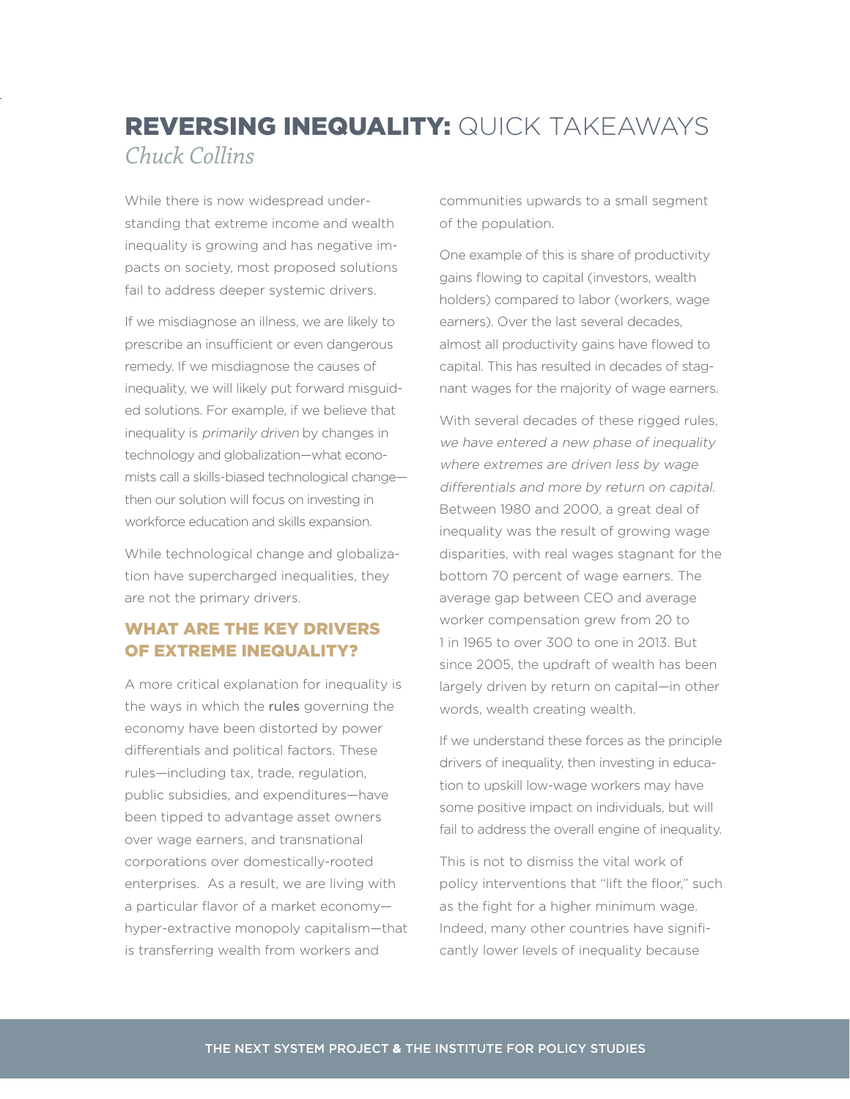## REVERSING INEQUALITY: QUICK TAKEAWAYS *Chuck Collins*

While there is now widespread understanding that extreme income and wealth inequality is growing and has negative impacts on society, most proposed solutions fail to address deeper systemic drivers.

If we misdiagnose an illness, we are likely to prescribe an insufficient or even dangerous remedy. If we misdiagnose the causes of inequality, we will likely put forward misguided solutions. For example, if we believe that inequality is primarily driven by changes in technology and globalization—what economists call a skills-biased technological change then our solution will focus on investing in workforce education and skills expansion.

While technological change and globalization have supercharged inequalities, they are not the primary drivers.

## WHAT ARE THE KEY DRIVERS OF EXTREME INEQUALITY?

A more critical explanation for inequality is the ways in which the rules governing the economy have been distorted by power differentials and political factors. These rules—including tax, trade, regulation, public subsidies, and expenditures—have been tipped to advantage asset owners over wage earners, and transnational corporations over domestically-rooted enterprises. As a result, we are living with a particular flavor of a market economy hyper-extractive monopoly capitalism—that is transferring wealth from workers and

communities upwards to a small segment of the population.

One example of this is share of productivity gains flowing to capital (investors, wealth holders) compared to labor (workers, wage earners). Over the last several decades, almost all productivity gains have flowed to capital. This has resulted in decades of stagnant wages for the majority of wage earners.

With several decades of these rigged rules, we have entered a new phase of inequality where extremes are driven less by wage differentials and more by return on capital. Between 1980 and 2000, a great deal of inequality was the result of growing wage disparities, with real wages stagnant for the bottom 70 percent of wage earners. The average gap between CEO and average worker compensation grew from 20 to 1 in 1965 to over 300 to one in 2013. But since 2005, the updraft of wealth has been largely driven by return on capital—in other words, wealth creating wealth.

If we understand these forces as the principle drivers of inequality, then investing in education to upskill low-wage workers may have some positive impact on individuals, but will fail to address the overall engine of inequality.

This is not to dismiss the vital work of policy interventions that "lift the floor," such as the fight for a higher minimum wage. Indeed, many other countries have significantly lower levels of inequality because